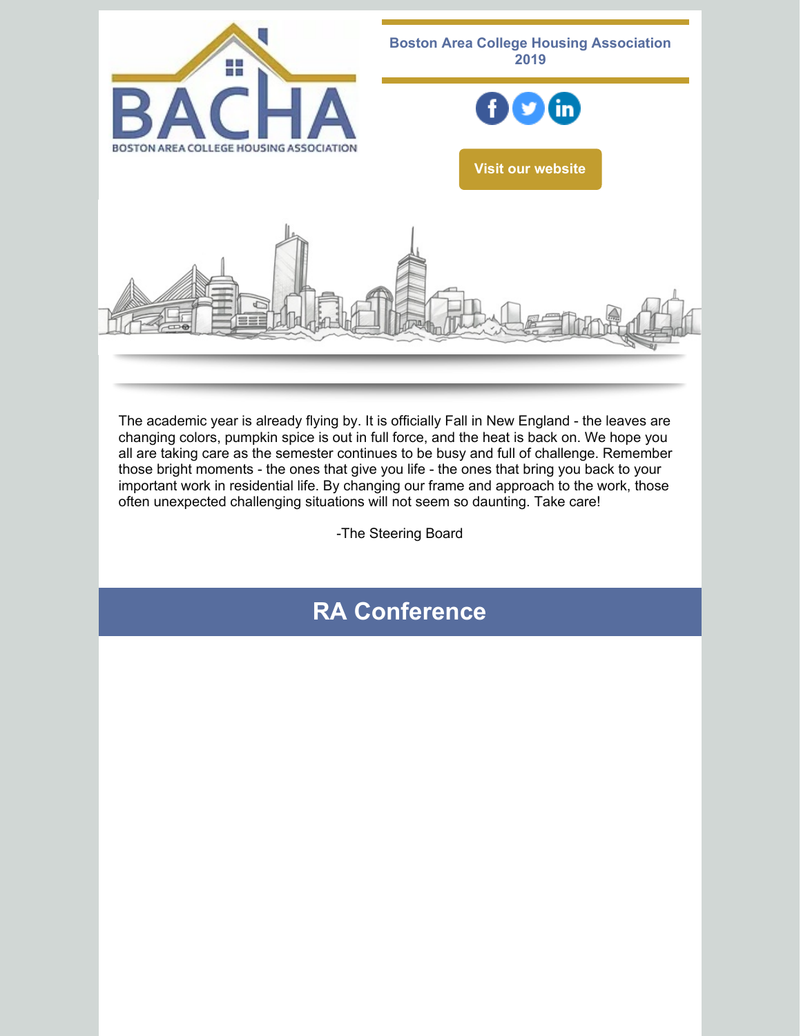

The academic year is already flying by. It is officially Fall in New England - the leaves are changing colors, pumpkin spice is out in full force, and the heat is back on. We hope you all are taking care as the semester continues to be busy and full of challenge. Remember those bright moments - the ones that give you life - the ones that bring you back to your important work in residential life. By changing our frame and approach to the work, those often unexpected challenging situations will not seem so daunting. Take care!

-The Steering Board

# **RA Conference**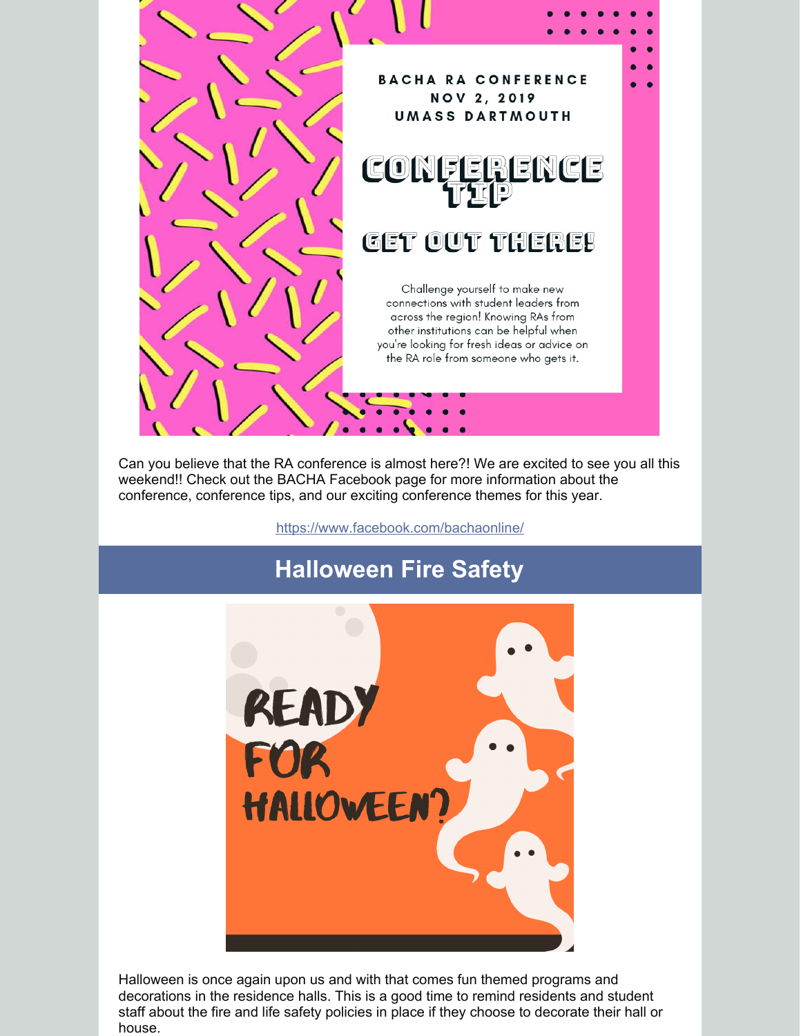

Can you believe that the RA conference is almost here?! We are excited to see you all this weekend!! Check out the BACHA Facebook page for more information about the conference, conference tips, and our exciting conference themes for this year.

<https://www.facebook.com/bachaonline/>

# **Halloween Fire Safety**



Halloween is once again upon us and with that comes fun themed programs and decorations in the residence halls. This is a good time to remind residents and student staff about the fire and life safety policies in place if they choose to decorate their hall or house.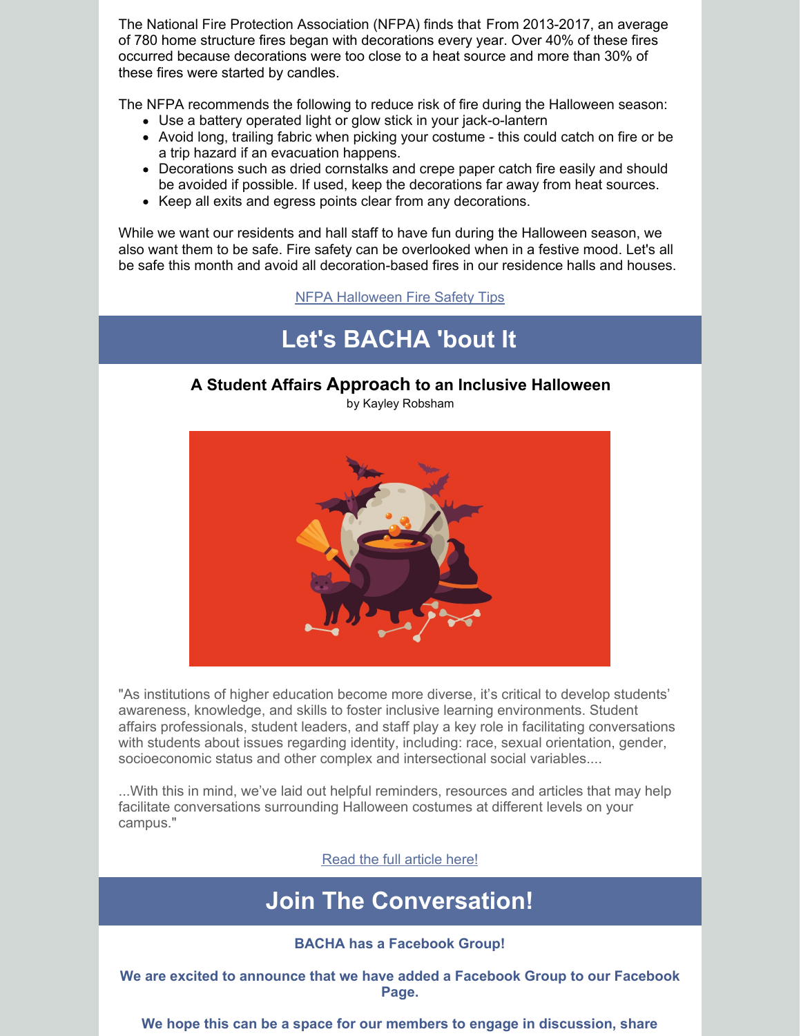The National Fire Protection Association (NFPA) finds that From 2013-2017, an average of 780 home structure fires began with decorations every year. Over 40% of these fires occurred because decorations were too close to a heat source and more than 30% of these fires were started by candles.

The NFPA recommends the following to reduce risk of fire during the Halloween season:

- Use a battery operated light or glow stick in your jack-o-lantern
- Avoid long, trailing fabric when picking your costume this could catch on fire or be a trip hazard if an evacuation happens.
- Decorations such as dried cornstalks and crepe paper catch fire easily and should be avoided if possible. If used, keep the decorations far away from heat sources.
- Keep all exits and egress points clear from any decorations.

While we want our residents and hall staff to have fun during the Halloween season, we also want them to be safe. Fire safety can be overlooked when in a festive mood. Let's all be safe this month and avoid all decoration-based fires in our residence halls and houses.

NFPA [Halloween](https://www.nfpa.org/Public-Education/Fire-causes-and-risks/Seasonal-fire-causes/Halloween) Fire Safety Tips

## **Let's BACHA 'bout It**

#### **A Student Affairs Approach to an Inclusive Halloween**

by Kayley Robsham



"As institutions of higher education become more diverse, it's critical to develop students' awareness, knowledge, and skills to foster inclusive learning environments. Student affairs professionals, student leaders, and staff play a key role in facilitating conversations with students about issues regarding identity, including: race, sexual orientation, gender, socioeconomic status and other complex and intersectional social variables....

...With this in mind, we've laid out helpful reminders, resources and articles that may help facilitate conversations surrounding Halloween costumes at different levels on your campus."

Read the full [article](https://www.presence.io/blog/a-student-affairs-approach-to-an-inclusive-halloween/) here!

### **Join The Conversation!**

#### **BACHA has a Facebook Group!**

**We are excited to announce that we have added a Facebook Group to our Facebook Page.**

**We hope this can be a space for our members to engage in discussion, share**